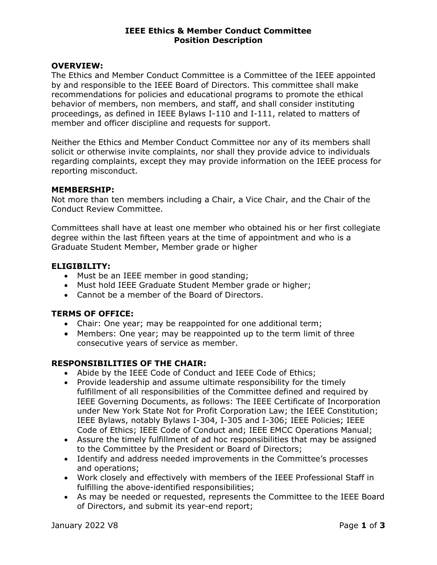#### IEEE Ethics & Member Conduct Committee Position Description

#### OVERVIEW:

The Ethics and Member Conduct Committee is a Committee of the IEEE appointed by and responsible to the IEEE Board of Directors. This committee shall make recommendations for policies and educational programs to promote the ethical behavior of members, non members, and staff, and shall consider instituting proceedings, as defined in IEEE Bylaws I-110 and I-111, related to matters of member and officer discipline and requests for support.

Neither the Ethics and Member Conduct Committee nor any of its members shall solicit or otherwise invite complaints, nor shall they provide advice to individuals regarding complaints, except they may provide information on the IEEE process for reporting misconduct.

#### MEMBERSHIP:

Not more than ten members including a Chair, a Vice Chair, and the Chair of the Conduct Review Committee.

Committees shall have at least one member who obtained his or her first collegiate degree within the last fifteen years at the time of appointment and who is a Graduate Student Member, Member grade or higher

#### ELIGIBILITY:

- Must be an IEEE member in good standing;
- Must hold IEEE Graduate Student Member grade or higher;
- Cannot be a member of the Board of Directors.

### TERMS OF OFFICE:

- Chair: One year; may be reappointed for one additional term;
- Members: One year; may be reappointed up to the term limit of three consecutive years of service as member.

### RESPONSIBILITIES OF THE CHAIR:

- Abide by the IEEE Code of Conduct and IEEE Code of Ethics;
- Provide leadership and assume ultimate responsibility for the timely fulfillment of all responsibilities of the Committee defined and required by IEEE Governing Documents, as follows: The IEEE Certificate of Incorporation under New York State Not for Profit Corporation Law; the IEEE Constitution; IEEE Bylaws, notably Bylaws I-304, I-305 and I-306; IEEE Policies; IEEE Code of Ethics; IEEE Code of Conduct and; IEEE EMCC Operations Manual;
- Assure the timely fulfillment of ad hoc responsibilities that may be assigned to the Committee by the President or Board of Directors;
- Identify and address needed improvements in the Committee's processes and operations;
- Work closely and effectively with members of the IEEE Professional Staff in fulfilling the above-identified responsibilities;
- As may be needed or requested, represents the Committee to the IEEE Board of Directors, and submit its year-end report;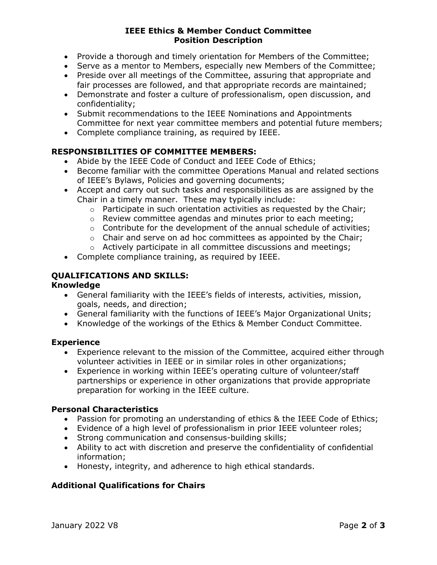### IEEE Ethics & Member Conduct Committee Position Description

- Provide a thorough and timely orientation for Members of the Committee;
- Serve as a mentor to Members, especially new Members of the Committee;
- Preside over all meetings of the Committee, assuring that appropriate and fair processes are followed, and that appropriate records are maintained;
- Demonstrate and foster a culture of professionalism, open discussion, and confidentiality;
- Submit recommendations to the IEEE Nominations and Appointments Committee for next year committee members and potential future members;
- Complete compliance training, as required by IEEE.

# RESPONSIBILITIES OF COMMITTEE MEMBERS:

- Abide by the IEEE Code of Conduct and IEEE Code of Ethics;
- Become familiar with the committee Operations Manual and related sections of IEEE's Bylaws, Policies and governing documents;
- Accept and carry out such tasks and responsibilities as are assigned by the Chair in a timely manner. These may typically include:
	- $\circ$  Participate in such orientation activities as requested by the Chair:
	- o Review committee agendas and minutes prior to each meeting;
	- $\circ$  Contribute for the development of the annual schedule of activities;
	- $\circ$  Chair and serve on ad hoc committees as appointed by the Chair;
	- o Actively participate in all committee discussions and meetings;
- Complete compliance training, as required by IEEE.

# QUALIFICATIONS AND SKILLS:

### Knowledge

- General familiarity with the IEEE's fields of interests, activities, mission, goals, needs, and direction;
- General familiarity with the functions of IEEE's Major Organizational Units;
- Knowledge of the workings of the Ethics & Member Conduct Committee.

### **Experience**

- Experience relevant to the mission of the Committee, acquired either through volunteer activities in IEEE or in similar roles in other organizations;
- Experience in working within IEEE's operating culture of volunteer/staff partnerships or experience in other organizations that provide appropriate preparation for working in the IEEE culture.

# Personal Characteristics

- Passion for promoting an understanding of ethics & the IEEE Code of Ethics;
- Evidence of a high level of professionalism in prior IEEE volunteer roles;
- Strong communication and consensus-building skills;
- Ability to act with discretion and preserve the confidentiality of confidential information;
- Honesty, integrity, and adherence to high ethical standards.

# Additional Qualifications for Chairs